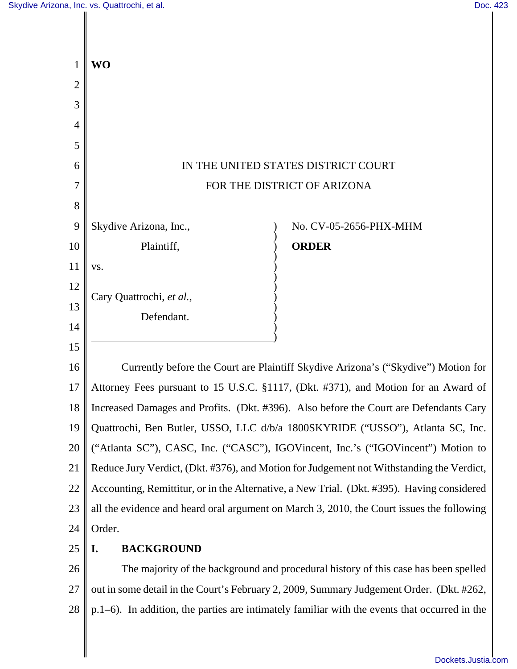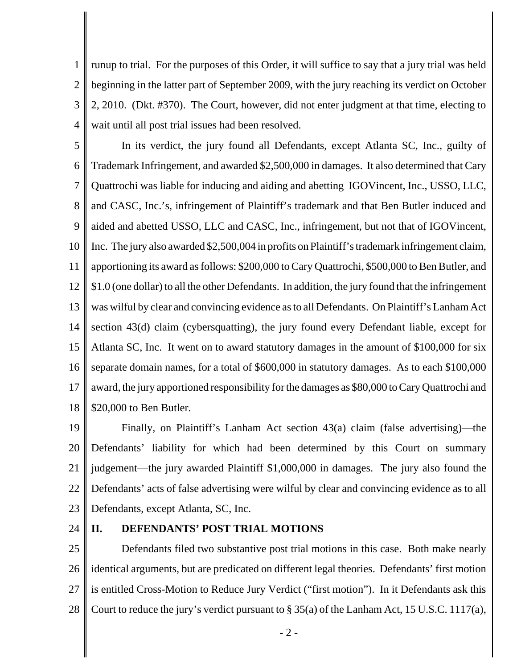1 2 3 4 runup to trial. For the purposes of this Order, it will suffice to say that a jury trial was held beginning in the latter part of September 2009, with the jury reaching its verdict on October 2, 2010. (Dkt. #370). The Court, however, did not enter judgment at that time, electing to wait until all post trial issues had been resolved.

5 6 7 8 9 10 11 12 13 14 15 16 17 18 In its verdict, the jury found all Defendants, except Atlanta SC, Inc., guilty of Trademark Infringement, and awarded \$2,500,000 in damages. It also determined that Cary Quattrochi was liable for inducing and aiding and abetting IGOVincent, Inc., USSO, LLC, and CASC, Inc.'s, infringement of Plaintiff's trademark and that Ben Butler induced and aided and abetted USSO, LLC and CASC, Inc., infringement, but not that of IGOVincent, Inc. The jury also awarded \$2,500,004 in profits on Plaintiff's trademark infringement claim, apportioning its award as follows: \$200,000 to Cary Quattrochi, \$500,000 to Ben Butler, and \$1.0 (one dollar) to all the other Defendants. In addition, the jury found that the infringement was wilful by clear and convincing evidence as to all Defendants. On Plaintiff's Lanham Act section 43(d) claim (cybersquatting), the jury found every Defendant liable, except for Atlanta SC, Inc. It went on to award statutory damages in the amount of \$100,000 for six separate domain names, for a total of \$600,000 in statutory damages. As to each \$100,000 award, the jury apportioned responsibility for the damages as \$80,000 to Cary Quattrochi and \$20,000 to Ben Butler.

19 20 21 22 23 Finally, on Plaintiff's Lanham Act section 43(a) claim (false advertising)—the Defendants' liability for which had been determined by this Court on summary judgement—the jury awarded Plaintiff \$1,000,000 in damages. The jury also found the Defendants' acts of false advertising were wilful by clear and convincing evidence as to all Defendants, except Atlanta, SC, Inc.

24

#### **II. DEFENDANTS' POST TRIAL MOTIONS**

25 26 27 28 Defendants filed two substantive post trial motions in this case. Both make nearly identical arguments, but are predicated on different legal theories. Defendants' first motion is entitled Cross-Motion to Reduce Jury Verdict ("first motion"). In it Defendants ask this Court to reduce the jury's verdict pursuant to § 35(a) of the Lanham Act, 15 U.S.C. 1117(a),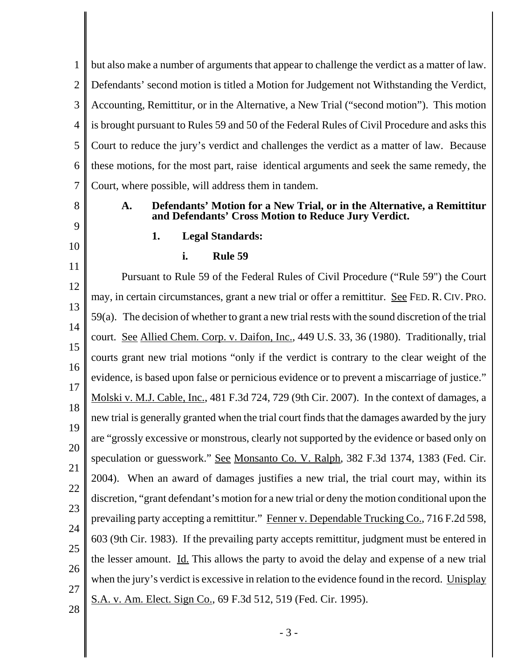1 2 3 4 5 6 7 but also make a number of arguments that appear to challenge the verdict as a matter of law. Defendants' second motion is titled a Motion for Judgement not Withstanding the Verdict, Accounting, Remittitur, or in the Alternative, a New Trial ("second motion"). This motion is brought pursuant to Rules 59 and 50 of the Federal Rules of Civil Procedure and asks this Court to reduce the jury's verdict and challenges the verdict as a matter of law. Because these motions, for the most part, raise identical arguments and seek the same remedy, the Court, where possible, will address them in tandem.

8

**A. Defendants' Motion for a New Trial, or in the Alternative, a Remittitur and Defendants' Cross Motion to Reduce Jury Verdict.**

# 9 10

#### **1. Legal Standards:**

#### **i. Rule 59**

11 12 13 14 15 16 17 18 19 20 21 22 23 24 25 26 27 28 Pursuant to Rule 59 of the Federal Rules of Civil Procedure ("Rule 59") the Court may, in certain circumstances, grant a new trial or offer a remittitur. See FED. R. CIV. PRO. 59(a). The decision of whether to grant a new trial rests with the sound discretion of the trial court. See Allied Chem. Corp. v. Daifon, Inc., 449 U.S. 33, 36 (1980). Traditionally, trial courts grant new trial motions "only if the verdict is contrary to the clear weight of the evidence, is based upon false or pernicious evidence or to prevent a miscarriage of justice." Molski v. M.J. Cable, Inc., 481 F.3d 724, 729 (9th Cir. 2007). In the context of damages, a new trial is generally granted when the trial court finds that the damages awarded by the jury are "grossly excessive or monstrous, clearly not supported by the evidence or based only on speculation or guesswork." See Monsanto Co. V. Ralph, 382 F.3d 1374, 1383 (Fed. Cir. 2004). When an award of damages justifies a new trial, the trial court may, within its discretion, "grant defendant's motion for a new trial or deny the motion conditional upon the prevailing party accepting a remittitur." Fenner v. Dependable Trucking Co., 716 F.2d 598, 603 (9th Cir. 1983). If the prevailing party accepts remittitur, judgment must be entered in the lesser amount. Id. This allows the party to avoid the delay and expense of a new trial when the jury's verdict is excessive in relation to the evidence found in the record. Unisplay S.A. v. Am. Elect. Sign Co., 69 F.3d 512, 519 (Fed. Cir. 1995).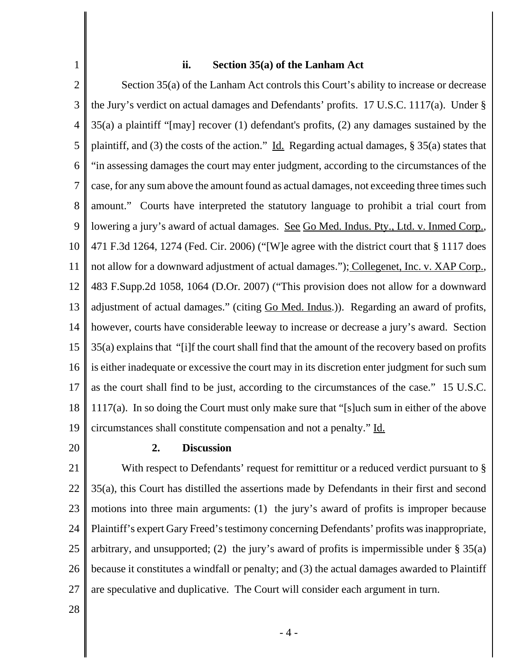#### **ii. Section 35(a) of the Lanham Act**

2 3 4 5 6 7 8 9 10 11 12 13 14 15 16 17 18 19 Section 35(a) of the Lanham Act controls this Court's ability to increase or decrease the Jury's verdict on actual damages and Defendants' profits. 17 U.S.C. 1117(a). Under § 35(a) a plaintiff "[may] recover (1) defendant's profits, (2) any damages sustained by the plaintiff, and (3) the costs of the action." Id. Regarding actual damages,  $\S 35(a)$  states that "in assessing damages the court may enter judgment, according to the circumstances of the case, for any sum above the amount found as actual damages, not exceeding three times such amount." Courts have interpreted the statutory language to prohibit a trial court from lowering a jury's award of actual damages. See Go Med. Indus. Pty., Ltd. v. Inmed Corp., 471 F.3d 1264, 1274 (Fed. Cir. 2006) ("[W]e agree with the district court that § 1117 does not allow for a downward adjustment of actual damages."); Collegenet, Inc. v. XAP Corp., 483 F.Supp.2d 1058, 1064 (D.Or. 2007) ("This provision does not allow for a downward adjustment of actual damages." (citing Go Med. Indus.)). Regarding an award of profits, however, courts have considerable leeway to increase or decrease a jury's award. Section 35(a) explains that "[i]f the court shall find that the amount of the recovery based on profits is either inadequate or excessive the court may in its discretion enter judgment for such sum as the court shall find to be just, according to the circumstances of the case." 15 U.S.C. 1117(a). In so doing the Court must only make sure that "[s]uch sum in either of the above circumstances shall constitute compensation and not a penalty." Id.

20

1

#### **2. Discussion**

21 22 23 24 25 26 27 With respect to Defendants' request for remittitur or a reduced verdict pursuant to  $\S$ 35(a), this Court has distilled the assertions made by Defendants in their first and second motions into three main arguments: (1) the jury's award of profits is improper because Plaintiff's expert Gary Freed's testimony concerning Defendants' profits was inappropriate, arbitrary, and unsupported; (2) the jury's award of profits is impermissible under  $\S 35(a)$ because it constitutes a windfall or penalty; and (3) the actual damages awarded to Plaintiff are speculative and duplicative. The Court will consider each argument in turn.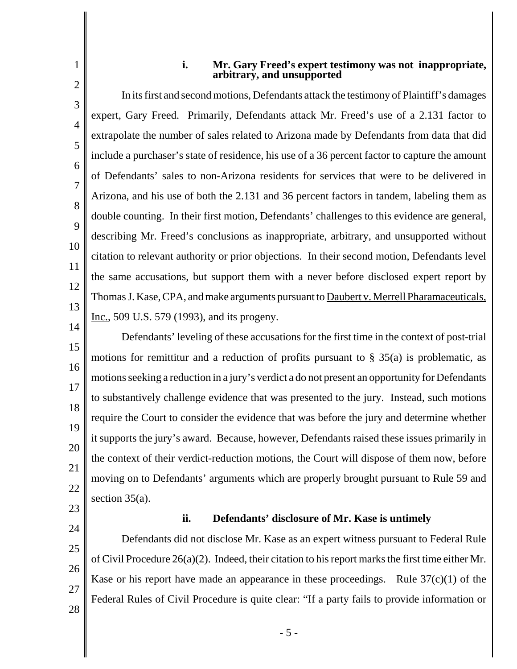1 2

#### **i. Mr. Gary Freed's expert testimony was not inappropriate, arbitrary, and unsupported**

3 4 5 6 7 8 9 10 11 12 13 14 In its first and second motions, Defendants attack the testimony of Plaintiff's damages expert, Gary Freed. Primarily, Defendants attack Mr. Freed's use of a 2.131 factor to extrapolate the number of sales related to Arizona made by Defendants from data that did include a purchaser's state of residence, his use of a 36 percent factor to capture the amount of Defendants' sales to non-Arizona residents for services that were to be delivered in Arizona, and his use of both the 2.131 and 36 percent factors in tandem, labeling them as double counting. In their first motion, Defendants' challenges to this evidence are general, describing Mr. Freed's conclusions as inappropriate, arbitrary, and unsupported without citation to relevant authority or prior objections. In their second motion, Defendants level the same accusations, but support them with a never before disclosed expert report by Thomas J. Kase, CPA, and make arguments pursuant to **Daubert v. Merrell Pharamaceuticals**, Inc., 509 U.S. 579 (1993), and its progeny.

15 16 17 18 19 20 21 22 Defendants' leveling of these accusations for the first time in the context of post-trial motions for remittitur and a reduction of profits pursuant to  $\S$  35(a) is problematic, as motions seeking a reduction in a jury's verdict a do not present an opportunity for Defendants to substantively challenge evidence that was presented to the jury. Instead, such motions require the Court to consider the evidence that was before the jury and determine whether it supports the jury's award. Because, however, Defendants raised these issues primarily in the context of their verdict-reduction motions, the Court will dispose of them now, before moving on to Defendants' arguments which are properly brought pursuant to Rule 59 and section 35(a).

23

# 24

### **ii. Defendants' disclosure of Mr. Kase is untimely**

25 26 27 28 Defendants did not disclose Mr. Kase as an expert witness pursuant to Federal Rule of Civil Procedure 26(a)(2). Indeed, their citation to his report marks the first time either Mr. Kase or his report have made an appearance in these proceedings. Rule  $37(c)(1)$  of the Federal Rules of Civil Procedure is quite clear: "If a party fails to provide information or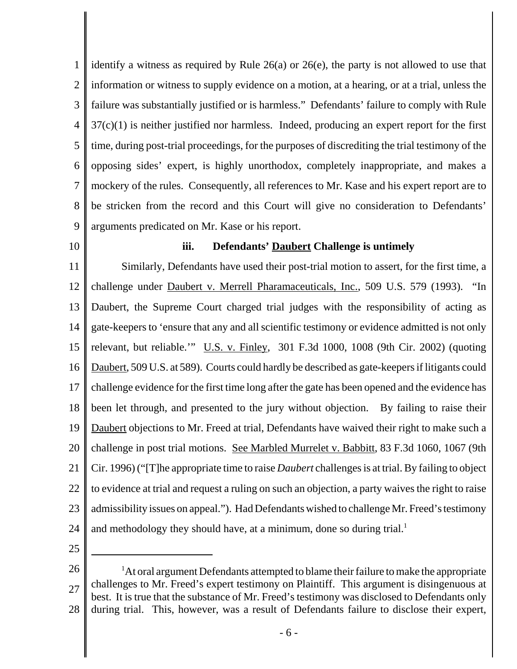1 2 3 4 5 6 7 8 9 identify a witness as required by Rule 26(a) or 26(e), the party is not allowed to use that information or witness to supply evidence on a motion, at a hearing, or at a trial, unless the failure was substantially justified or is harmless." Defendants' failure to comply with Rule  $37(c)(1)$  is neither justified nor harmless. Indeed, producing an expert report for the first time, during post-trial proceedings, for the purposes of discrediting the trial testimony of the opposing sides' expert, is highly unorthodox, completely inappropriate, and makes a mockery of the rules. Consequently, all references to Mr. Kase and his expert report are to be stricken from the record and this Court will give no consideration to Defendants' arguments predicated on Mr. Kase or his report.

10

#### **iii. Defendants' Daubert Challenge is untimely**

11 12 13 14 15 16 17 18 19 20 21 22 23 24 Similarly, Defendants have used their post-trial motion to assert, for the first time, a challenge under Daubert v. Merrell Pharamaceuticals, Inc., 509 U.S. 579 (1993). "In Daubert, the Supreme Court charged trial judges with the responsibility of acting as gate-keepers to 'ensure that any and all scientific testimony or evidence admitted is not only relevant, but reliable." U.S. v. Finley, 301 F.3d 1000, 1008 (9th Cir. 2002) (quoting Daubert, 509 U.S. at 589). Courts could hardly be described as gate-keepers if litigants could challenge evidence for the first time long after the gate has been opened and the evidence has been let through, and presented to the jury without objection. By failing to raise their Daubert objections to Mr. Freed at trial, Defendants have waived their right to make such a challenge in post trial motions. See Marbled Murrelet v. Babbitt, 83 F.3d 1060, 1067 (9th Cir. 1996) ("[T]he appropriate time to raise *Daubert* challenges is at trial. By failing to object to evidence at trial and request a ruling on such an objection, a party waives the right to raise admissibility issues on appeal."). Had Defendants wished to challenge Mr. Freed's testimony and methodology they should have, at a minimum, done so during trial.<sup>1</sup>

<sup>26</sup> 27 28 <sup>1</sup>At oral argument Defendants attempted to blame their failure to make the appropriate challenges to Mr. Freed's expert testimony on Plaintiff. This argument is disingenuous at best. It is true that the substance of Mr. Freed's testimony was disclosed to Defendants only during trial. This, however, was a result of Defendants failure to disclose their expert,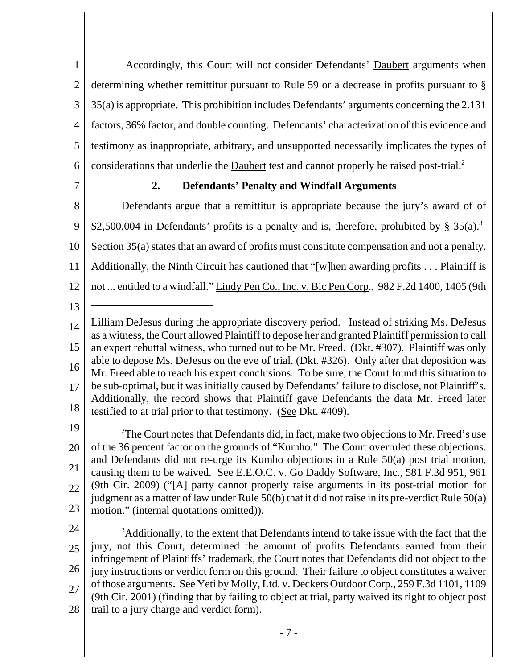1 2 3 4 5 6 Accordingly, this Court will not consider Defendants' Daubert arguments when determining whether remittitur pursuant to Rule 59 or a decrease in profits pursuant to § 35(a) is appropriate. This prohibition includes Defendants' arguments concerning the 2.131 factors, 36% factor, and double counting. Defendants' characterization of this evidence and testimony as inappropriate, arbitrary, and unsupported necessarily implicates the types of considerations that underlie the Daubert test and cannot properly be raised post-trial.<sup>2</sup>

7

### **2. Defendants' Penalty and Windfall Arguments**

8 9 10 11 12 Defendants argue that a remittitur is appropriate because the jury's award of of \$2,500,004 in Defendants' profits is a penalty and is, therefore, prohibited by  $\S 35(a)$ .<sup>3</sup> Section 35(a) states that an award of profits must constitute compensation and not a penalty. Additionally, the Ninth Circuit has cautioned that "[w]hen awarding profits . . . Plaintiff is not ... entitled to a windfall." Lindy Pen Co., Inc. v. Bic Pen Corp., 982 F.2d 1400, 1405 (9th

13

19

20 21 22 23 <sup>2</sup>The Court notes that Defendants did, in fact, make two objections to Mr. Freed's use of the 36 percent factor on the grounds of "Kumho." The Court overruled these objections. and Defendants did not re-urge its Kumho objections in a Rule 50(a) post trial motion, causing them to be waived. See E.E.O.C. v. Go Daddy Software, Inc., 581 F.3d 951, 961 (9th Cir. 2009) ("[A] party cannot properly raise arguments in its post-trial motion for judgment as a matter of law under Rule 50(b) that it did not raise in its pre-verdict Rule 50(a) motion." (internal quotations omitted)).

24 25 26 27 28 <sup>3</sup>Additionally, to the extent that Defendants intend to take issue with the fact that the jury, not this Court, determined the amount of profits Defendants earned from their infringement of Plaintiffs' trademark, the Court notes that Defendants did not object to the jury instructions or verdict form on this ground. Their failure to object constitutes a waiver of those arguments. See Yeti by Molly, Ltd. v. Deckers Outdoor Corp., 259 F.3d 1101, 1109 (9th Cir. 2001) (finding that by failing to object at trial, party waived its right to object post trail to a jury charge and verdict form).

<sup>14</sup> 15 16 17 18 Lilliam DeJesus during the appropriate discovery period. Instead of striking Ms. DeJesus as a witness, the Court allowed Plaintiff to depose her and granted Plaintiff permission to call an expert rebuttal witness, who turned out to be Mr. Freed. (Dkt. #307). Plaintiff was only able to depose Ms. DeJesus on the eve of trial. (Dkt. #326). Only after that deposition was Mr. Freed able to reach his expert conclusions. To be sure, the Court found this situation to be sub-optimal, but it was initially caused by Defendants' failure to disclose, not Plaintiff's. Additionally, the record shows that Plaintiff gave Defendants the data Mr. Freed later testified to at trial prior to that testimony. (See Dkt. #409).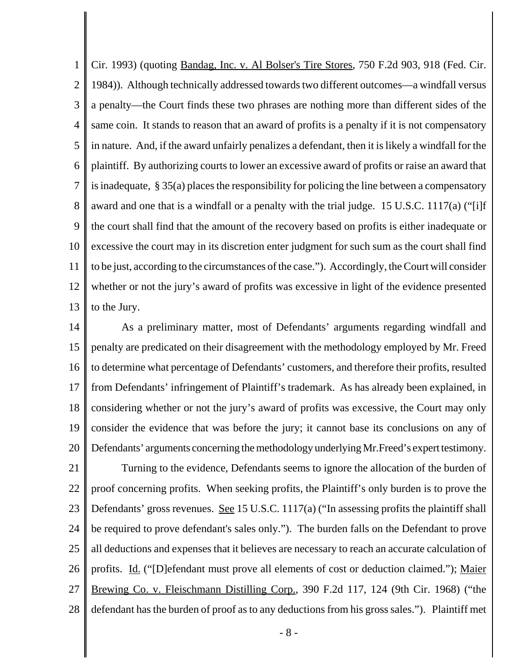1 2 3 4 5 6 7 8 9 10 11 12 13 Cir. 1993) (quoting Bandag, Inc. v. Al Bolser's Tire Stores, 750 F.2d 903, 918 (Fed. Cir. 1984)). Although technically addressed towards two different outcomes—a windfall versus a penalty—the Court finds these two phrases are nothing more than different sides of the same coin. It stands to reason that an award of profits is a penalty if it is not compensatory in nature. And, if the award unfairly penalizes a defendant, then it is likely a windfall for the plaintiff. By authorizing courts to lower an excessive award of profits or raise an award that is inadequate, § 35(a) places the responsibility for policing the line between a compensatory award and one that is a windfall or a penalty with the trial judge. 15 U.S.C. 1117(a) ("[i]f the court shall find that the amount of the recovery based on profits is either inadequate or excessive the court may in its discretion enter judgment for such sum as the court shall find to be just, according to the circumstances of the case."). Accordingly, the Court will consider whether or not the jury's award of profits was excessive in light of the evidence presented to the Jury.

14 15 16 17 18 19 20 As a preliminary matter, most of Defendants' arguments regarding windfall and penalty are predicated on their disagreement with the methodology employed by Mr. Freed to determine what percentage of Defendants' customers, and therefore their profits, resulted from Defendants' infringement of Plaintiff's trademark. As has already been explained, in considering whether or not the jury's award of profits was excessive, the Court may only consider the evidence that was before the jury; it cannot base its conclusions on any of Defendants' arguments concerning the methodology underlying Mr.Freed's expert testimony.

21 22 23 24 25 26 27 28 Turning to the evidence, Defendants seems to ignore the allocation of the burden of proof concerning profits. When seeking profits, the Plaintiff's only burden is to prove the Defendants' gross revenues. See 15 U.S.C. 1117(a) ("In assessing profits the plaintiff shall be required to prove defendant's sales only."). The burden falls on the Defendant to prove all deductions and expenses that it believes are necessary to reach an accurate calculation of profits. Id. ("[D]efendant must prove all elements of cost or deduction claimed."); Maier Brewing Co. v. Fleischmann Distilling Corp., 390 F.2d 117, 124 (9th Cir. 1968) ("the defendant has the burden of proof as to any deductions from his gross sales."). Plaintiff met

- 8 -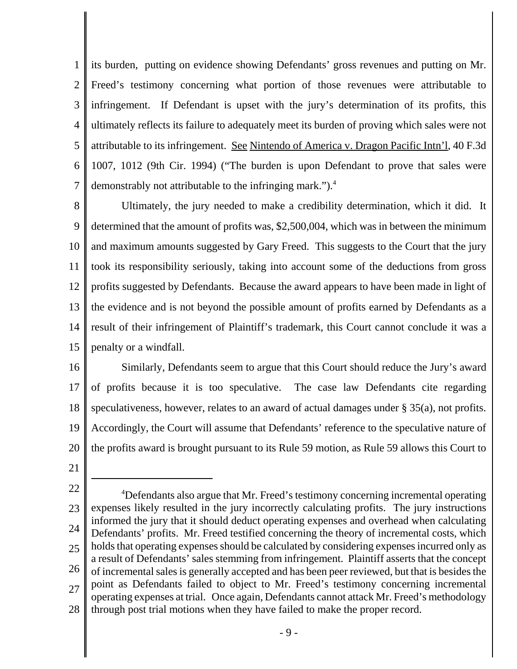1 2 3 4 5 6 7 its burden, putting on evidence showing Defendants' gross revenues and putting on Mr. Freed's testimony concerning what portion of those revenues were attributable to infringement. If Defendant is upset with the jury's determination of its profits, this ultimately reflects its failure to adequately meet its burden of proving which sales were not attributable to its infringement. See Nintendo of America v. Dragon Pacific Intn'l, 40 F.3d 1007, 1012 (9th Cir. 1994) ("The burden is upon Defendant to prove that sales were demonstrably not attributable to the infringing mark.").<sup>4</sup>

8 9 10 11 12 13 14 15 Ultimately, the jury needed to make a credibility determination, which it did. It determined that the amount of profits was, \$2,500,004, which was in between the minimum and maximum amounts suggested by Gary Freed. This suggests to the Court that the jury took its responsibility seriously, taking into account some of the deductions from gross profits suggested by Defendants. Because the award appears to have been made in light of the evidence and is not beyond the possible amount of profits earned by Defendants as a result of their infringement of Plaintiff's trademark, this Court cannot conclude it was a penalty or a windfall.

16 17 18 19 20 Similarly, Defendants seem to argue that this Court should reduce the Jury's award of profits because it is too speculative. The case law Defendants cite regarding speculativeness, however, relates to an award of actual damages under § 35(a), not profits. Accordingly, the Court will assume that Defendants' reference to the speculative nature of the profits award is brought pursuant to its Rule 59 motion, as Rule 59 allows this Court to

<sup>22</sup> 23 24 25 26 27 28 <sup>4</sup>Defendants also argue that Mr. Freed's testimony concerning incremental operating expenses likely resulted in the jury incorrectly calculating profits. The jury instructions informed the jury that it should deduct operating expenses and overhead when calculating Defendants' profits. Mr. Freed testified concerning the theory of incremental costs, which holds that operating expenses should be calculated by considering expenses incurred only as a result of Defendants' sales stemming from infringement. Plaintiff asserts that the concept of incremental sales is generally accepted and has been peer reviewed, but that is besides the point as Defendants failed to object to Mr. Freed's testimony concerning incremental operating expenses at trial. Once again, Defendants cannot attack Mr. Freed's methodology through post trial motions when they have failed to make the proper record.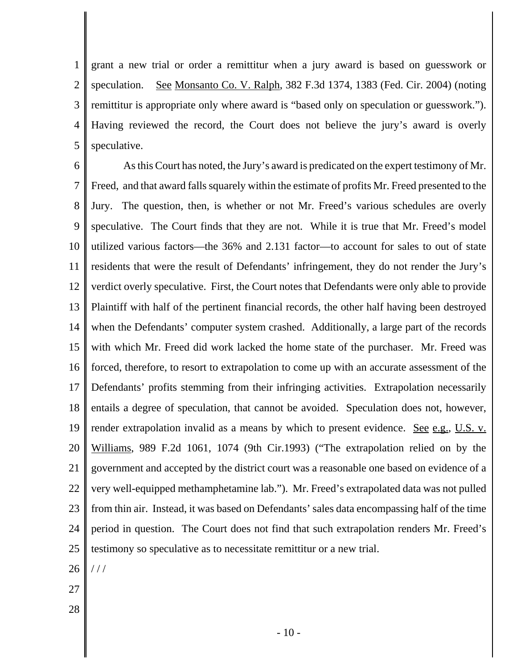1 2 3 4 5 grant a new trial or order a remittitur when a jury award is based on guesswork or speculation. See Monsanto Co. V. Ralph, 382 F.3d 1374, 1383 (Fed. Cir. 2004) (noting remittitur is appropriate only where award is "based only on speculation or guesswork."). Having reviewed the record, the Court does not believe the jury's award is overly speculative.

6 7 8 9 10 11 12 13 14 15 16 17 18 19 20 21 22 23 24 25 As this Court has noted, the Jury's award is predicated on the expert testimony of Mr. Freed, and that award falls squarely within the estimate of profits Mr. Freed presented to the Jury. The question, then, is whether or not Mr. Freed's various schedules are overly speculative. The Court finds that they are not. While it is true that Mr. Freed's model utilized various factors—the 36% and 2.131 factor—to account for sales to out of state residents that were the result of Defendants' infringement, they do not render the Jury's verdict overly speculative. First, the Court notes that Defendants were only able to provide Plaintiff with half of the pertinent financial records, the other half having been destroyed when the Defendants' computer system crashed. Additionally, a large part of the records with which Mr. Freed did work lacked the home state of the purchaser. Mr. Freed was forced, therefore, to resort to extrapolation to come up with an accurate assessment of the Defendants' profits stemming from their infringing activities. Extrapolation necessarily entails a degree of speculation, that cannot be avoided. Speculation does not, however, render extrapolation invalid as a means by which to present evidence. See e.g., U.S. v. Williams, 989 F.2d 1061, 1074 (9th Cir.1993) ("The extrapolation relied on by the government and accepted by the district court was a reasonable one based on evidence of a very well-equipped methamphetamine lab."). Mr. Freed's extrapolated data was not pulled from thin air. Instead, it was based on Defendants' sales data encompassing half of the time period in question. The Court does not find that such extrapolation renders Mr. Freed's testimony so speculative as to necessitate remittitur or a new trial.

- 26  $1/1$
- 27
- 28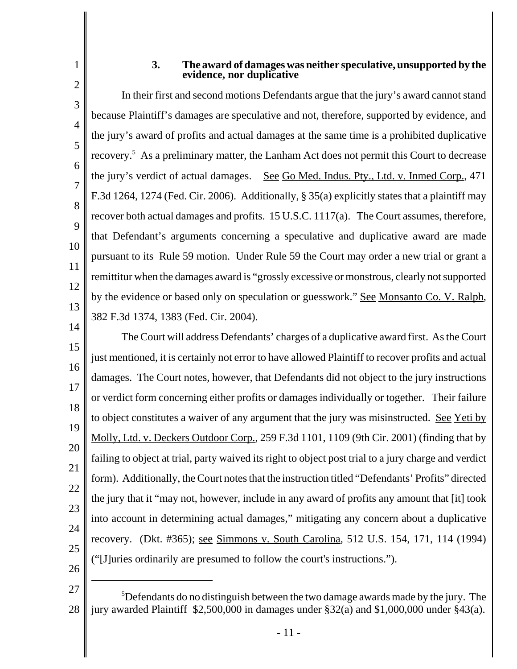# 1 2

#### **3. The award of damages was neither speculative, unsupported by the evidence, nor duplicative**

3 4 5 6 7 8 9 10 11 12 13 14 In their first and second motions Defendants argue that the jury's award cannot stand because Plaintiff's damages are speculative and not, therefore, supported by evidence, and the jury's award of profits and actual damages at the same time is a prohibited duplicative recovery.<sup>5</sup> As a preliminary matter, the Lanham Act does not permit this Court to decrease the jury's verdict of actual damages. See Go Med. Indus. Pty., Ltd. v. Inmed Corp., 471 F.3d 1264, 1274 (Fed. Cir. 2006). Additionally, § 35(a) explicitly states that a plaintiff may recover both actual damages and profits. 15 U.S.C. 1117(a). The Court assumes, therefore, that Defendant's arguments concerning a speculative and duplicative award are made pursuant to its Rule 59 motion. Under Rule 59 the Court may order a new trial or grant a remittitur when the damages award is "grossly excessive or monstrous, clearly not supported by the evidence or based only on speculation or guesswork." See Monsanto Co. V. Ralph, 382 F.3d 1374, 1383 (Fed. Cir. 2004).

15 16 17 18 19 20 21 22 23 24 25 The Court will address Defendants' charges of a duplicative award first. As the Court just mentioned, it is certainly not error to have allowed Plaintiff to recover profits and actual damages. The Court notes, however, that Defendants did not object to the jury instructions or verdict form concerning either profits or damages individually or together. Their failure to object constitutes a waiver of any argument that the jury was misinstructed. See Yeti by Molly, Ltd. v. Deckers Outdoor Corp., 259 F.3d 1101, 1109 (9th Cir. 2001) (finding that by failing to object at trial, party waived its right to object post trial to a jury charge and verdict form). Additionally, the Court notes that the instruction titled "Defendants' Profits" directed the jury that it "may not, however, include in any award of profits any amount that [it] took into account in determining actual damages," mitigating any concern about a duplicative recovery. (Dkt. #365); see Simmons v. South Carolina, 512 U.S. 154, 171, 114 (1994) ("[J]uries ordinarily are presumed to follow the court's instructions.").

<sup>27</sup> 28 <sup>5</sup>Defendants do no distinguish between the two damage awards made by the jury. The jury awarded Plaintiff \$2,500,000 in damages under §32(a) and \$1,000,000 under §43(a).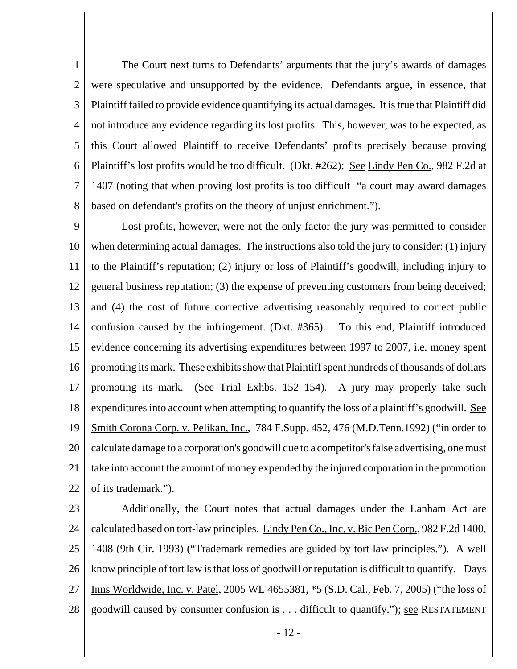1 2 3 4 5 6 7 8 The Court next turns to Defendants' arguments that the jury's awards of damages were speculative and unsupported by the evidence. Defendants argue, in essence, that Plaintiff failed to provide evidence quantifying its actual damages. It is true that Plaintiff did not introduce any evidence regarding its lost profits. This, however, was to be expected, as this Court allowed Plaintiff to receive Defendants' profits precisely because proving Plaintiff's lost profits would be too difficult. (Dkt. #262); <u>See Lindy Pen Co.</u>, 982 F.2d at 1407 (noting that when proving lost profits is too difficult "a court may award damages based on defendant's profits on the theory of unjust enrichment.").

9 10 11 12 13 14 15 16 17 18 19 20 21 22 Lost profits, however, were not the only factor the jury was permitted to consider when determining actual damages. The instructions also told the jury to consider: (1) injury to the Plaintiff's reputation; (2) injury or loss of Plaintiff's goodwill, including injury to general business reputation; (3) the expense of preventing customers from being deceived; and (4) the cost of future corrective advertising reasonably required to correct public confusion caused by the infringement. (Dkt. #365). To this end, Plaintiff introduced evidence concerning its advertising expenditures between 1997 to 2007, i.e. money spent promoting its mark. These exhibits show that Plaintiff spent hundreds of thousands of dollars promoting its mark. (See Trial Exhbs. 152–154). A jury may properly take such expenditures into account when attempting to quantify the loss of a plaintiff's goodwill. See Smith Corona Corp. v. Pelikan, Inc., 784 F.Supp. 452, 476 (M.D.Tenn. 1992) ("in order to calculate damage to a corporation's goodwill due to a competitor's false advertising, one must take into account the amount of money expended by the injured corporation in the promotion of its trademark.").

23

24 25 26 27 28 Additionally, the Court notes that actual damages under the Lanham Act are calculated based on tort-law principles. Lindy Pen Co., Inc. v. Bic Pen Corp., 982 F.2d 1400, 1408 (9th Cir. 1993) ("Trademark remedies are guided by tort law principles."). A well know principle of tort law is that loss of goodwill or reputation is difficult to quantify. Days Inns Worldwide, Inc. v. Patel, 2005 WL 4655381, \*5 (S.D. Cal., Feb. 7, 2005) ("the loss of goodwill caused by consumer confusion is . . . difficult to quantify."); see RESTATEMENT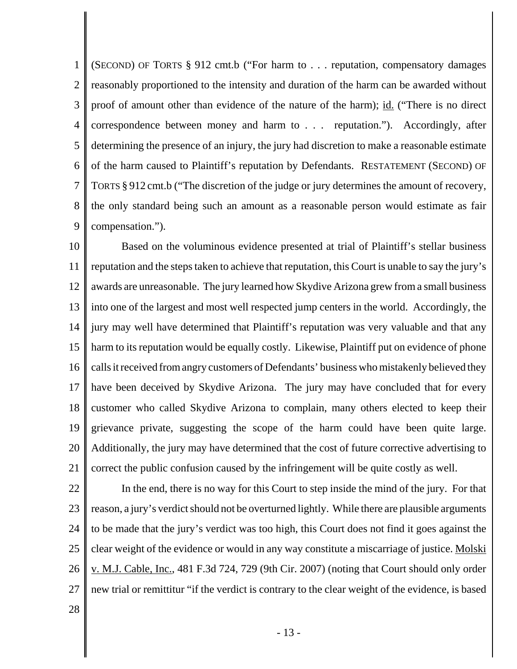1 2 3 4 5 6 7 8 9 (SECOND) OF TORTS § 912 cmt.b ("For harm to . . . reputation, compensatory damages reasonably proportioned to the intensity and duration of the harm can be awarded without proof of amount other than evidence of the nature of the harm); id. ("There is no direct correspondence between money and harm to . . . reputation."). Accordingly, after determining the presence of an injury, the jury had discretion to make a reasonable estimate of the harm caused to Plaintiff's reputation by Defendants. RESTATEMENT (SECOND) OF TORTS § 912 cmt.b ("The discretion of the judge or jury determines the amount of recovery, the only standard being such an amount as a reasonable person would estimate as fair compensation.").

10 11 12 13 14 15 16 17 18 19 20 21 Based on the voluminous evidence presented at trial of Plaintiff's stellar business reputation and the steps taken to achieve that reputation, this Court is unable to say the jury's awards are unreasonable. The jury learned how Skydive Arizona grew from a small business into one of the largest and most well respected jump centers in the world. Accordingly, the jury may well have determined that Plaintiff's reputation was very valuable and that any harm to its reputation would be equally costly. Likewise, Plaintiff put on evidence of phone calls it received from angry customers of Defendants' business who mistakenly believed they have been deceived by Skydive Arizona. The jury may have concluded that for every customer who called Skydive Arizona to complain, many others elected to keep their grievance private, suggesting the scope of the harm could have been quite large. Additionally, the jury may have determined that the cost of future corrective advertising to correct the public confusion caused by the infringement will be quite costly as well.

22 23 24 25 26 27 In the end, there is no way for this Court to step inside the mind of the jury. For that reason, a jury's verdict should not be overturned lightly. While there are plausible arguments to be made that the jury's verdict was too high, this Court does not find it goes against the clear weight of the evidence or would in any way constitute a miscarriage of justice. Molski v. M.J. Cable, Inc., 481 F.3d 724, 729 (9th Cir. 2007) (noting that Court should only order new trial or remittitur "if the verdict is contrary to the clear weight of the evidence, is based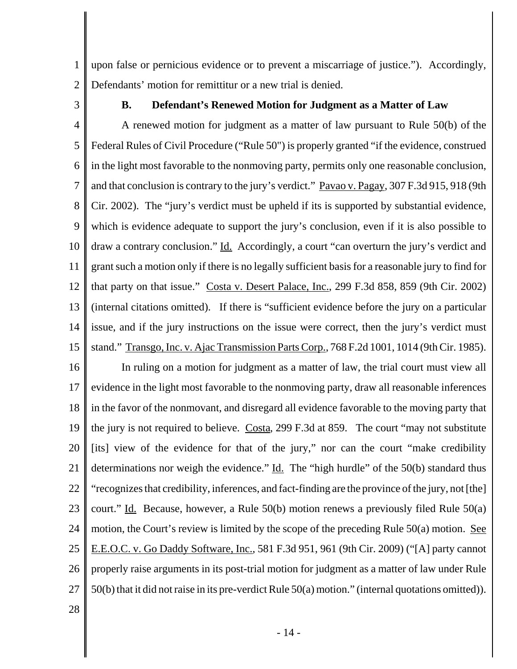1 2 upon false or pernicious evidence or to prevent a miscarriage of justice."). Accordingly, Defendants' motion for remittitur or a new trial is denied.

3

#### **B. Defendant's Renewed Motion for Judgment as a Matter of Law**

4 5 6 7 8 9 10 11 12 13 14 15 A renewed motion for judgment as a matter of law pursuant to Rule 50(b) of the Federal Rules of Civil Procedure ("Rule 50") is properly granted "if the evidence, construed in the light most favorable to the nonmoving party, permits only one reasonable conclusion, and that conclusion is contrary to the jury's verdict." Pavao v. Pagay, 307 F.3d 915, 918 (9th Cir. 2002). The "jury's verdict must be upheld if its is supported by substantial evidence, which is evidence adequate to support the jury's conclusion, even if it is also possible to draw a contrary conclusion." Id. Accordingly, a court "can overturn the jury's verdict and grant such a motion only if there is no legally sufficient basis for a reasonable jury to find for that party on that issue." Costa v. Desert Palace, Inc., 299 F.3d 858, 859 (9th Cir. 2002) (internal citations omitted). If there is "sufficient evidence before the jury on a particular issue, and if the jury instructions on the issue were correct, then the jury's verdict must stand." Transgo, Inc. v. Ajac Transmission Parts Corp., 768 F.2d 1001, 1014 (9th Cir. 1985).

16 17 18 19 20 21 22 23 24 25 26 27 In ruling on a motion for judgment as a matter of law, the trial court must view all evidence in the light most favorable to the nonmoving party, draw all reasonable inferences in the favor of the nonmovant, and disregard all evidence favorable to the moving party that the jury is not required to believe. Costa, 299 F.3d at 859. The court "may not substitute [its] view of the evidence for that of the jury," nor can the court "make credibility determinations nor weigh the evidence."  $\underline{Id}$ . The "high hurdle" of the 50(b) standard thus "recognizes that credibility, inferences, and fact-finding are the province of the jury, not [the] court." Id.Because, however, a Rule 50(b) motion renews a previously filed Rule 50(a) motion, the Court's review is limited by the scope of the preceding Rule 50(a) motion. See E.E.O.C. v. Go Daddy Software, Inc., 581 F.3d 951, 961 (9th Cir. 2009) ("[A] party cannot properly raise arguments in its post-trial motion for judgment as a matter of law under Rule 50(b) that it did not raise in its pre-verdict Rule 50(a) motion." (internal quotations omitted)).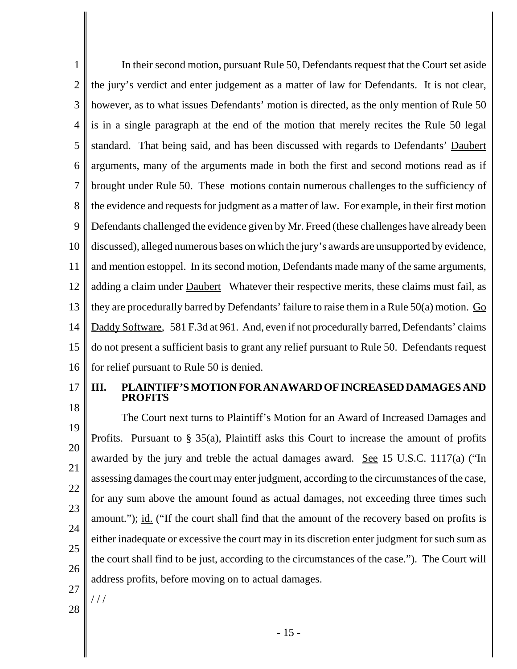1 2 3 4 5 6 7 8 9 10 11 12 13 14 15 16 In their second motion, pursuant Rule 50, Defendants request that the Court set aside the jury's verdict and enter judgement as a matter of law for Defendants. It is not clear, however, as to what issues Defendants' motion is directed, as the only mention of Rule 50 is in a single paragraph at the end of the motion that merely recites the Rule 50 legal standard. That being said, and has been discussed with regards to Defendants' Daubert arguments, many of the arguments made in both the first and second motions read as if brought under Rule 50. These motions contain numerous challenges to the sufficiency of the evidence and requests for judgment as a matter of law. For example, in their first motion Defendants challenged the evidence given by Mr. Freed (these challenges have already been discussed), alleged numerous bases on which the jury's awards are unsupported by evidence, and mention estoppel. In its second motion, Defendants made many of the same arguments, adding a claim under **Daubert** Whatever their respective merits, these claims must fail, as they are procedurally barred by Defendants' failure to raise them in a Rule 50(a) motion. Go Daddy Software, 581 F.3d at 961. And, even if not procedurally barred, Defendants' claims do not present a sufficient basis to grant any relief pursuant to Rule 50. Defendants request for relief pursuant to Rule 50 is denied.

17 18

#### **III. PLAINTIFF'S MOTION FOR AN AWARD OF INCREASED DAMAGES AND PROFITS**

19 20 21 22 23 24 25 26 The Court next turns to Plaintiff's Motion for an Award of Increased Damages and Profits. Pursuant to § 35(a), Plaintiff asks this Court to increase the amount of profits awarded by the jury and treble the actual damages award. See 15 U.S.C. 1117(a) ("In assessing damages the court may enter judgment, according to the circumstances of the case, for any sum above the amount found as actual damages, not exceeding three times such amount."); <u>id.</u> ("If the court shall find that the amount of the recovery based on profits is either inadequate or excessive the court may in its discretion enter judgment for such sum as the court shall find to be just, according to the circumstances of the case."). The Court will address profits, before moving on to actual damages.

27

/ / /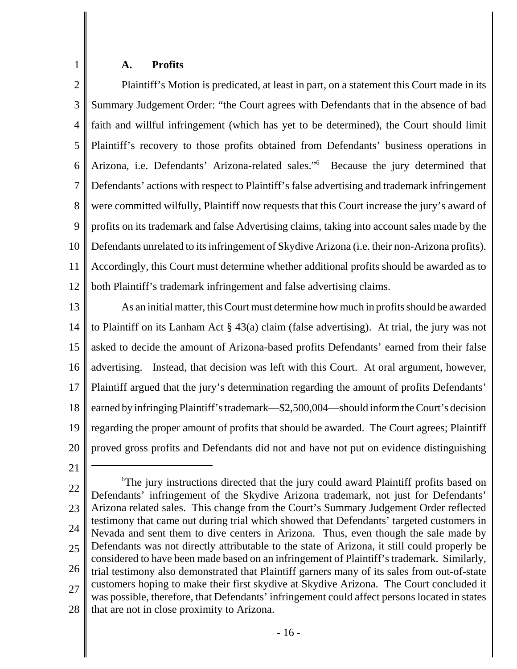#### **A. Profits**

1

2 3 4 5 6 7 8 9 10 11 12 Plaintiff's Motion is predicated, at least in part, on a statement this Court made in its Summary Judgement Order: "the Court agrees with Defendants that in the absence of bad faith and willful infringement (which has yet to be determined), the Court should limit Plaintiff's recovery to those profits obtained from Defendants' business operations in Arizona, i.e. Defendants' Arizona-related sales."6 Because the jury determined that Defendants' actions with respect to Plaintiff's false advertising and trademark infringement were committed wilfully, Plaintiff now requests that this Court increase the jury's award of profits on its trademark and false Advertising claims, taking into account sales made by the Defendants unrelated to its infringement of Skydive Arizona (i.e. their non-Arizona profits). Accordingly, this Court must determine whether additional profits should be awarded as to both Plaintiff's trademark infringement and false advertising claims.

13 14 15 16 17 18 19 20 As an initial matter, this Court must determine how much in profits should be awarded to Plaintiff on its Lanham Act § 43(a) claim (false advertising). At trial, the jury was not asked to decide the amount of Arizona-based profits Defendants' earned from their false advertising. Instead, that decision was left with this Court. At oral argument, however, Plaintiff argued that the jury's determination regarding the amount of profits Defendants' earned by infringing Plaintiff's trademark—\$2,500,004—should inform the Court's decision regarding the proper amount of profits that should be awarded. The Court agrees; Plaintiff proved gross profits and Defendants did not and have not put on evidence distinguishing

21

22 23 24 25 26 27 28 <sup>6</sup>The jury instructions directed that the jury could award Plaintiff profits based on Defendants' infringement of the Skydive Arizona trademark, not just for Defendants' Arizona related sales. This change from the Court's Summary Judgement Order reflected testimony that came out during trial which showed that Defendants' targeted customers in Nevada and sent them to dive centers in Arizona. Thus, even though the sale made by Defendants was not directly attributable to the state of Arizona, it still could properly be considered to have been made based on an infringement of Plaintiff's trademark. Similarly, trial testimony also demonstrated that Plaintiff garners many of its sales from out-of-state customers hoping to make their first skydive at Skydive Arizona. The Court concluded it was possible, therefore, that Defendants' infringement could affect persons located in states that are not in close proximity to Arizona.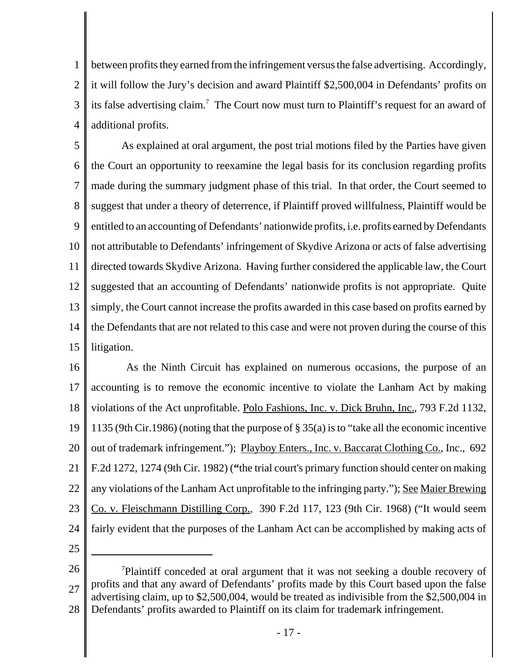1 2 3 4 between profits they earned from the infringement versus the false advertising. Accordingly, it will follow the Jury's decision and award Plaintiff \$2,500,004 in Defendants' profits on its false advertising claim.<sup>7</sup> The Court now must turn to Plaintiff's request for an award of additional profits.

5 6 7 8 9 10 11 12 13 14 15 As explained at oral argument, the post trial motions filed by the Parties have given the Court an opportunity to reexamine the legal basis for its conclusion regarding profits made during the summary judgment phase of this trial. In that order, the Court seemed to suggest that under a theory of deterrence, if Plaintiff proved willfulness, Plaintiff would be entitled to an accounting of Defendants' nationwide profits, i.e. profits earned by Defendants not attributable to Defendants' infringement of Skydive Arizona or acts of false advertising directed towards Skydive Arizona. Having further considered the applicable law, the Court suggested that an accounting of Defendants' nationwide profits is not appropriate. Quite simply, the Court cannot increase the profits awarded in this case based on profits earned by the Defendants that are not related to this case and were not proven during the course of this litigation.

16 17 18 19 20 21 22 23 24 As the Ninth Circuit has explained on numerous occasions, the purpose of an accounting is to remove the economic incentive to violate the Lanham Act by making violations of the Act unprofitable. Polo Fashions, Inc. v. Dick Bruhn, Inc., 793 F.2d 1132, 1135 (9th Cir.1986) (noting that the purpose of § 35(a) is to "take all the economic incentive out of trademark infringement."); Playboy Enters., Inc. v. Baccarat Clothing Co., Inc., 692 F.2d 1272, 1274 (9th Cir. 1982) (**"**the trial court's primary function should center on making any violations of the Lanham Act unprofitable to the infringing party."); See Maier Brewing Co. v. Fleischmann Distilling Corp., 390 F.2d 117, 123 (9th Cir. 1968) ("It would seem fairly evident that the purposes of the Lanham Act can be accomplished by making acts of

<sup>26</sup> 27 28 <sup>7</sup>Plaintiff conceded at oral argument that it was not seeking a double recovery of profits and that any award of Defendants' profits made by this Court based upon the false advertising claim, up to \$2,500,004, would be treated as indivisible from the \$2,500,004 in Defendants' profits awarded to Plaintiff on its claim for trademark infringement.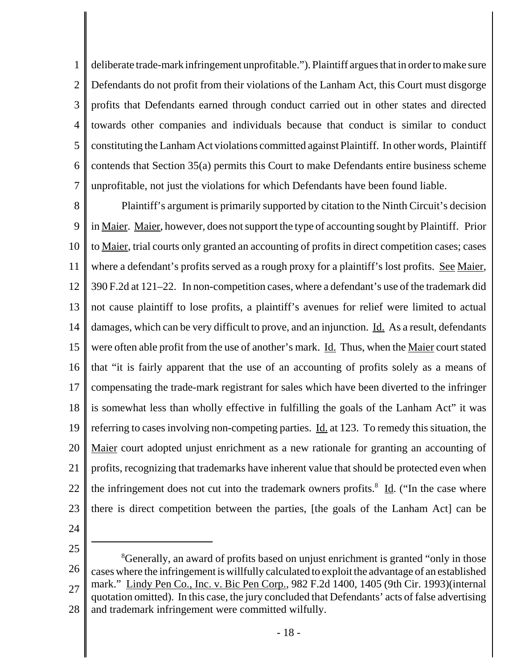1 2 3 4 5 6 7 deliberate trade-mark infringement unprofitable."). Plaintiff argues that in order to make sure Defendants do not profit from their violations of the Lanham Act, this Court must disgorge profits that Defendants earned through conduct carried out in other states and directed towards other companies and individuals because that conduct is similar to conduct constituting the Lanham Act violations committed against Plaintiff. In other words, Plaintiff contends that Section 35(a) permits this Court to make Defendants entire business scheme unprofitable, not just the violations for which Defendants have been found liable.

8 9 10 11 12 13 14 15 16 17 18 19 20 21 22 23 Plaintiff's argument is primarily supported by citation to the Ninth Circuit's decision in Maier. Maier, however, does not support the type of accounting sought by Plaintiff. Prior to Maier, trial courts only granted an accounting of profits in direct competition cases; cases where a defendant's profits served as a rough proxy for a plaintiff's lost profits. See Maier, 390 F.2d at 121–22. In non-competition cases, where a defendant's use of the trademark did not cause plaintiff to lose profits, a plaintiff's avenues for relief were limited to actual damages, which can be very difficult to prove, and an injunction. Id. As a result, defendants were often able profit from the use of another's mark. Id. Thus, when the Maier court stated that "it is fairly apparent that the use of an accounting of profits solely as a means of compensating the trade-mark registrant for sales which have been diverted to the infringer is somewhat less than wholly effective in fulfilling the goals of the Lanham Act" it was referring to cases involving non-competing parties. Id. at 123. To remedy this situation, the Maier court adopted unjust enrichment as a new rationale for granting an accounting of profits, recognizing that trademarks have inherent value that should be protected even when the infringement does not cut into the trademark owners profits.<sup>8</sup> Id. ("In the case where there is direct competition between the parties, [the goals of the Lanham Act] can be

24

<sup>26</sup> 27 28 <sup>8</sup>Generally, an award of profits based on unjust enrichment is granted "only in those cases where the infringement is willfully calculated to exploit the advantage of an established mark." Lindy Pen Co., Inc. v. Bic Pen Corp., 982 F.2d 1400, 1405 (9th Cir. 1993)(internal quotation omitted). In this case, the jury concluded that Defendants' acts of false advertising and trademark infringement were committed wilfully.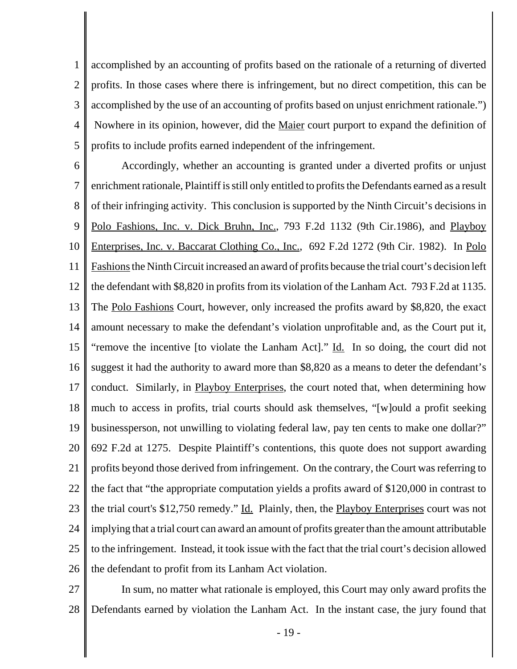1 2 3 4 5 accomplished by an accounting of profits based on the rationale of a returning of diverted profits. In those cases where there is infringement, but no direct competition, this can be accomplished by the use of an accounting of profits based on unjust enrichment rationale.") Nowhere in its opinion, however, did the Maier court purport to expand the definition of profits to include profits earned independent of the infringement.

6 7 8 9 10 11 12 13 14 15 16 17 18 19 20 21 22 23 24 25 26 Accordingly, whether an accounting is granted under a diverted profits or unjust enrichment rationale, Plaintiff is still only entitled to profits the Defendants earned as a result of their infringing activity. This conclusion is supported by the Ninth Circuit's decisions in Polo Fashions, Inc. v. Dick Bruhn, Inc., 793 F.2d 1132 (9th Cir.1986), and Playboy Enterprises, Inc. v. Baccarat Clothing Co., Inc., 692 F.2d 1272 (9th Cir. 1982). In Polo Fashions the Ninth Circuit increased an award of profits because the trial court's decision left the defendant with \$8,820 in profits from its violation of the Lanham Act. 793 F.2d at 1135. The Polo Fashions Court, however, only increased the profits award by \$8,820, the exact amount necessary to make the defendant's violation unprofitable and, as the Court put it, "remove the incentive [to violate the Lanham Act]." Id. In so doing, the court did not suggest it had the authority to award more than \$8,820 as a means to deter the defendant's conduct. Similarly, in Playboy Enterprises, the court noted that, when determining how much to access in profits, trial courts should ask themselves, "[w]ould a profit seeking businessperson, not unwilling to violating federal law, pay ten cents to make one dollar?" 692 F.2d at 1275. Despite Plaintiff's contentions, this quote does not support awarding profits beyond those derived from infringement. On the contrary, the Court was referring to the fact that "the appropriate computation yields a profits award of \$120,000 in contrast to the trial court's \$12,750 remedy." Id. Plainly, then, the Playboy Enterprises court was not implying that a trial court can award an amount of profits greater than the amount attributable to the infringement. Instead, it took issue with the fact that the trial court's decision allowed the defendant to profit from its Lanham Act violation.

27 28 In sum, no matter what rationale is employed, this Court may only award profits the Defendants earned by violation the Lanham Act. In the instant case, the jury found that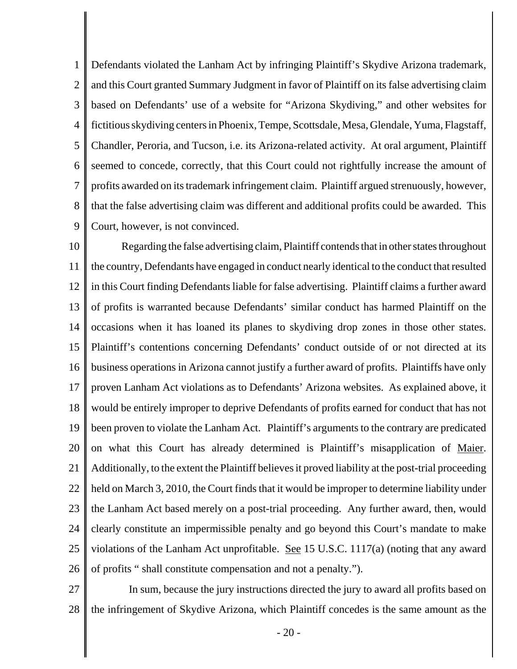1 2 3 4 5 6 7 8 9 Defendants violated the Lanham Act by infringing Plaintiff's Skydive Arizona trademark, and this Court granted Summary Judgment in favor of Plaintiff on its false advertising claim based on Defendants' use of a website for "Arizona Skydiving," and other websites for fictitious skydiving centers in Phoenix, Tempe, Scottsdale, Mesa, Glendale, Yuma, Flagstaff, Chandler, Peroria, and Tucson, i.e. its Arizona-related activity. At oral argument, Plaintiff seemed to concede, correctly, that this Court could not rightfully increase the amount of profits awarded on its trademark infringement claim. Plaintiff argued strenuously, however, that the false advertising claim was different and additional profits could be awarded. This Court, however, is not convinced.

10 11 12 13 14 15 16 17 18 19 20 21 22 23 24 25 26 Regarding the false advertising claim, Plaintiff contends that in other states throughout the country, Defendants have engaged in conduct nearly identical to the conduct that resulted in this Court finding Defendants liable for false advertising. Plaintiff claims a further award of profits is warranted because Defendants' similar conduct has harmed Plaintiff on the occasions when it has loaned its planes to skydiving drop zones in those other states. Plaintiff's contentions concerning Defendants' conduct outside of or not directed at its business operations in Arizona cannot justify a further award of profits. Plaintiffs have only proven Lanham Act violations as to Defendants' Arizona websites. As explained above, it would be entirely improper to deprive Defendants of profits earned for conduct that has not been proven to violate the Lanham Act. Plaintiff's arguments to the contrary are predicated on what this Court has already determined is Plaintiff's misapplication of Maier. Additionally, to the extent the Plaintiff believes it proved liability at the post-trial proceeding held on March 3, 2010, the Court finds that it would be improper to determine liability under the Lanham Act based merely on a post-trial proceeding. Any further award, then, would clearly constitute an impermissible penalty and go beyond this Court's mandate to make violations of the Lanham Act unprofitable. See 15 U.S.C. 1117(a) (noting that any award of profits " shall constitute compensation and not a penalty.").

27 28 In sum, because the jury instructions directed the jury to award all profits based on the infringement of Skydive Arizona, which Plaintiff concedes is the same amount as the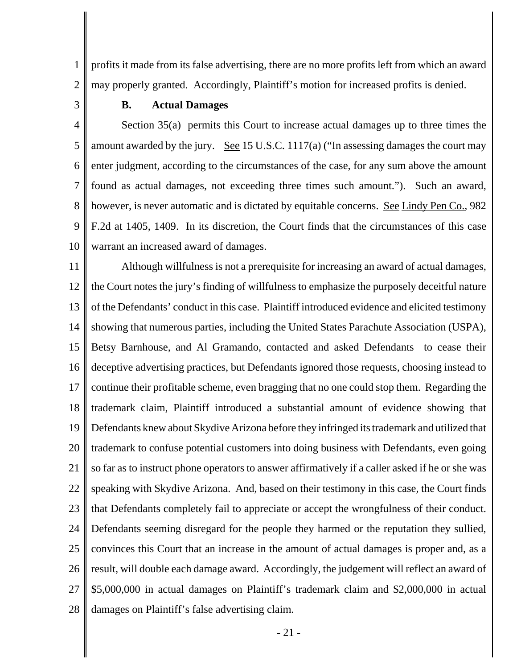1 2 profits it made from its false advertising, there are no more profits left from which an award may properly granted. Accordingly, Plaintiff's motion for increased profits is denied.

3

#### **B. Actual Damages**

4 5 6 7 8 9 10 Section 35(a) permits this Court to increase actual damages up to three times the amount awarded by the jury. See 15 U.S.C. 1117(a) ("In assessing damages the court may enter judgment, according to the circumstances of the case, for any sum above the amount found as actual damages, not exceeding three times such amount."). Such an award, however, is never automatic and is dictated by equitable concerns. See Lindy Pen Co., 982 F.2d at 1405, 1409. In its discretion, the Court finds that the circumstances of this case warrant an increased award of damages.

11 12 13 14 15 16 17 18 19 20 21 22 23 24 25 26 27 28 Although willfulness is not a prerequisite for increasing an award of actual damages, the Court notes the jury's finding of willfulness to emphasize the purposely deceitful nature of the Defendants' conduct in this case. Plaintiff introduced evidence and elicited testimony showing that numerous parties, including the United States Parachute Association (USPA), Betsy Barnhouse, and Al Gramando, contacted and asked Defendants to cease their deceptive advertising practices, but Defendants ignored those requests, choosing instead to continue their profitable scheme, even bragging that no one could stop them. Regarding the trademark claim, Plaintiff introduced a substantial amount of evidence showing that Defendants knew about Skydive Arizona before they infringed its trademark and utilized that trademark to confuse potential customers into doing business with Defendants, even going so far as to instruct phone operators to answer affirmatively if a caller asked if he or she was speaking with Skydive Arizona. And, based on their testimony in this case, the Court finds that Defendants completely fail to appreciate or accept the wrongfulness of their conduct. Defendants seeming disregard for the people they harmed or the reputation they sullied, convinces this Court that an increase in the amount of actual damages is proper and, as a result, will double each damage award. Accordingly, the judgement will reflect an award of \$5,000,000 in actual damages on Plaintiff's trademark claim and \$2,000,000 in actual damages on Plaintiff's false advertising claim.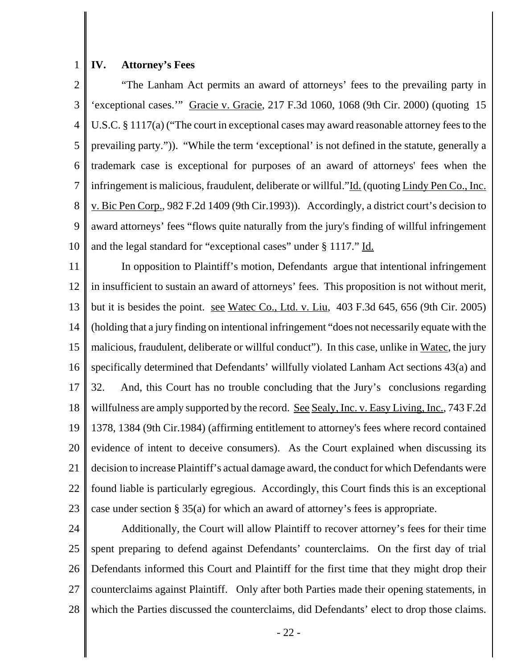#### 1 **IV. Attorney's Fees**

2 3 4 5 6 7 8 9 10 "The Lanham Act permits an award of attorneys' fees to the prevailing party in 'exceptional cases.'" Gracie v. Gracie, 217 F.3d 1060, 1068 (9th Cir. 2000) (quoting 15 U.S.C. § 1117(a) ("The court in exceptional cases may award reasonable attorney fees to the prevailing party.")). "While the term 'exceptional' is not defined in the statute, generally a trademark case is exceptional for purposes of an award of attorneys' fees when the infringement is malicious, fraudulent, deliberate or willful."Id. (quoting Lindy Pen Co., Inc. v. Bic Pen Corp., 982 F.2d 1409 (9th Cir.1993)). Accordingly, a district court's decision to award attorneys' fees "flows quite naturally from the jury's finding of willful infringement and the legal standard for "exceptional cases" under § 1117." Id.

11 12 13 14 15 16 17 18 19 20 21 22 23 In opposition to Plaintiff's motion, Defendants argue that intentional infringement in insufficient to sustain an award of attorneys' fees. This proposition is not without merit, but it is besides the point. see Watec Co., Ltd. v. Liu, 403 F.3d 645, 656 (9th Cir. 2005) (holding that a jury finding on intentional infringement "does not necessarily equate with the malicious, fraudulent, deliberate or willful conduct"). In this case, unlike in Watec, the jury specifically determined that Defendants' willfully violated Lanham Act sections 43(a) and 32. And, this Court has no trouble concluding that the Jury's conclusions regarding willfulness are amply supported by the record. See Sealy, Inc. v. Easy Living, Inc., 743 F.2d 1378, 1384 (9th Cir.1984) (affirming entitlement to attorney's fees where record contained evidence of intent to deceive consumers). As the Court explained when discussing its decision to increase Plaintiff's actual damage award, the conduct for which Defendants were found liable is particularly egregious. Accordingly, this Court finds this is an exceptional case under section § 35(a) for which an award of attorney's fees is appropriate.

24 25 26 27 28 Additionally, the Court will allow Plaintiff to recover attorney's fees for their time spent preparing to defend against Defendants' counterclaims. On the first day of trial Defendants informed this Court and Plaintiff for the first time that they might drop their counterclaims against Plaintiff. Only after both Parties made their opening statements, in which the Parties discussed the counterclaims, did Defendants' elect to drop those claims.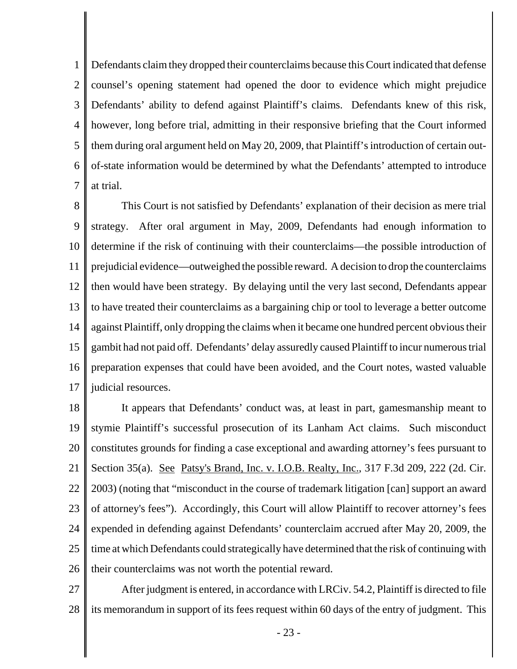1 2 3 4 5 6 7 Defendants claim they dropped their counterclaims because this Court indicated that defense counsel's opening statement had opened the door to evidence which might prejudice Defendants' ability to defend against Plaintiff's claims. Defendants knew of this risk, however, long before trial, admitting in their responsive briefing that the Court informed them during oral argument held on May 20, 2009, that Plaintiff's introduction of certain outof-state information would be determined by what the Defendants' attempted to introduce at trial.

8 9 10 11 12 13 14 15 16 17 This Court is not satisfied by Defendants' explanation of their decision as mere trial strategy. After oral argument in May, 2009, Defendants had enough information to determine if the risk of continuing with their counterclaims—the possible introduction of prejudicial evidence—outweighed the possible reward. A decision to drop the counterclaims then would have been strategy. By delaying until the very last second, Defendants appear to have treated their counterclaims as a bargaining chip or tool to leverage a better outcome against Plaintiff, only dropping the claims when it became one hundred percent obvious their gambit had not paid off. Defendants' delay assuredly caused Plaintiff to incur numerous trial preparation expenses that could have been avoided, and the Court notes, wasted valuable judicial resources.

18 19 20 21 22 23 24 25 26 It appears that Defendants' conduct was, at least in part, gamesmanship meant to stymie Plaintiff's successful prosecution of its Lanham Act claims. Such misconduct constitutes grounds for finding a case exceptional and awarding attorney's fees pursuant to Section 35(a). <u>See Patsy's Brand, Inc. v. I.O.B. Realty, Inc.</u>, 317 F.3d 209, 222 (2d. Cir. 2003) (noting that "misconduct in the course of trademark litigation [can] support an award of attorney's fees"). Accordingly, this Court will allow Plaintiff to recover attorney's fees expended in defending against Defendants' counterclaim accrued after May 20, 2009, the time at which Defendants could strategically have determined that the risk of continuing with their counterclaims was not worth the potential reward.

27 28 After judgment is entered, in accordance with LRCiv. 54.2, Plaintiff is directed to file its memorandum in support of its fees request within 60 days of the entry of judgment. This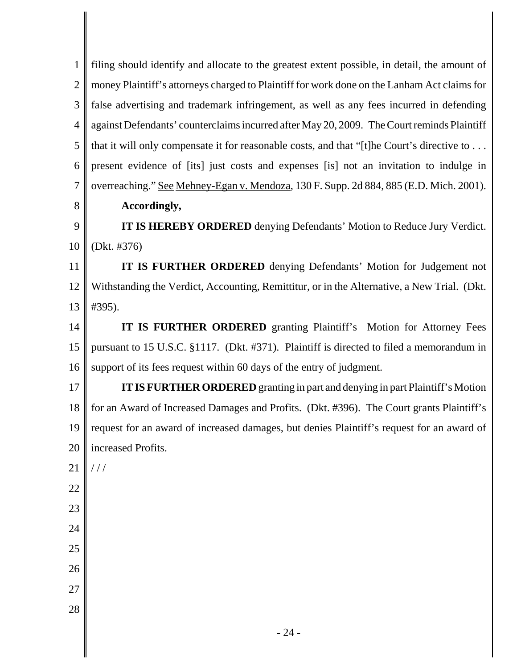| 1              | filing should identify and allocate to the greatest extent possible, in detail, the amount of |
|----------------|-----------------------------------------------------------------------------------------------|
| $\overline{2}$ | money Plaintiff's attorneys charged to Plaintiff for work done on the Lanham Act claims for   |
| 3              | false advertising and trademark infringement, as well as any fees incurred in defending       |
| $\overline{4}$ | against Defendants' counterclaims incurred after May 20, 2009. The Court reminds Plaintiff    |
| 5              | that it will only compensate it for reasonable costs, and that "[t]he Court's directive to    |
| 6              | present evidence of [its] just costs and expenses [is] not an invitation to indulge in        |
| $\overline{7}$ | overreaching." See Mehney-Egan v. Mendoza, 130 F. Supp. 2d 884, 885 (E.D. Mich. 2001).        |
| 8              | Accordingly,                                                                                  |
| 9              | <b>IT IS HEREBY ORDERED</b> denying Defendants' Motion to Reduce Jury Verdict.                |
| 10             | (Dkt. #376)                                                                                   |
| 11             | IT IS FURTHER ORDERED denying Defendants' Motion for Judgement not                            |
| 12             | Withstanding the Verdict, Accounting, Remittitur, or in the Alternative, a New Trial. (Dkt.   |
| 13             | #395).                                                                                        |
| 14             | IT IS FURTHER ORDERED granting Plaintiff's Motion for Attorney Fees                           |
| 15             | pursuant to 15 U.S.C. §1117. (Dkt. #371). Plaintiff is directed to filed a memorandum in      |
| 16             | support of its fees request within 60 days of the entry of judgment.                          |
| 17             | <b>IT IS FURTHER ORDERED</b> granting in part and denying in part Plaintiff's Motion          |
| 18             | for an Award of Increased Damages and Profits. (Dkt. #396). The Court grants Plaintiff's      |
| 19             | request for an award of increased damages, but denies Plaintiff's request for an award of     |
| 20             | increased Profits.                                                                            |
| 21             | //                                                                                            |
| $22\,$         |                                                                                               |
| 23             |                                                                                               |
| 24             |                                                                                               |
| 25             |                                                                                               |
| 26             |                                                                                               |
| 27             |                                                                                               |
| $28\,$         |                                                                                               |